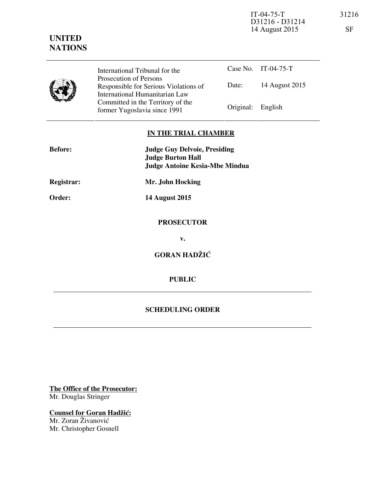IT-04-75-T 31216 D31216 - D31214 14 August 2015 SF

## **UNITED NATIONS**

| International Tribunal for the                                                                    |                   | Case No. IT-04-75-T |
|---------------------------------------------------------------------------------------------------|-------------------|---------------------|
| Prosecution of Persons<br>Responsible for Serious Violations of<br>International Humanitarian Law | Date:             | 14 August 2015      |
| Committed in the Territory of the<br>former Yugoslavia since 1991                                 | Original: English |                     |

## **IN THE TRIAL CHAMBER**

| <b>Before:</b> | <b>Judge Guy Delvoie, Presiding</b><br><b>Judge Burton Hall</b><br><b>Judge Antoine Kesia-Mbe Mindua</b> |  |
|----------------|----------------------------------------------------------------------------------------------------------|--|
| Registrar:     | Mr. John Hocking                                                                                         |  |
| Order:         | <b>14 August 2015</b>                                                                                    |  |
|                | <b>PROSECUTOR</b>                                                                                        |  |
|                | v.                                                                                                       |  |
|                | <b>GORAN HADŽIĆ</b>                                                                                      |  |
|                | <b>PUBLIC</b>                                                                                            |  |
|                |                                                                                                          |  |

## **SCHEDULING ORDER**

**The Office of the Prosecutor:** Mr. Douglas Stringer

**Counsel for Goran Hadžić:** Mr. Zoran Živanović Mr. Christopher Gosnell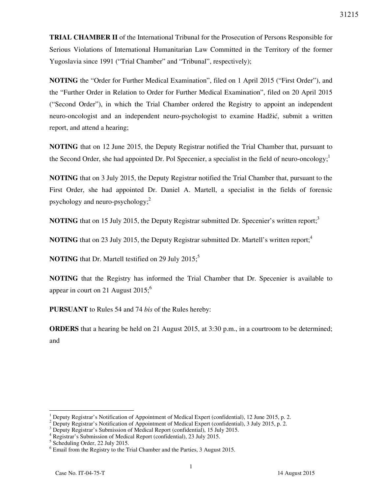**TRIAL CHAMBER II** of the International Tribunal for the Prosecution of Persons Responsible for Serious Violations of International Humanitarian Law Committed in the Territory of the former Yugoslavia since 1991 ("Trial Chamber" and "Tribunal", respectively);

**NOTING** the "Order for Further Medical Examination", filed on 1 April 2015 ("First Order"), and the "Further Order in Relation to Order for Further Medical Examination", filed on 20 April 2015 ("Second Order"), in which the Trial Chamber ordered the Registry to appoint an independent neuro-oncologist and an independent neuro-psychologist to examine Hadžić, submit a written report, and attend a hearing;

**NOTING** that on 12 June 2015, the Deputy Registrar notified the Trial Chamber that, pursuant to the Second Order, she had appointed Dr. Pol Specenier, a specialist in the field of neuro-oncology;<sup>1</sup>

**NOTING** that on 3 July 2015, the Deputy Registrar notified the Trial Chamber that, pursuant to the First Order, she had appointed Dr. Daniel A. Martell, a specialist in the fields of forensic psychology and neuro-psychology;<sup>2</sup>

**NOTING** that on 15 July 2015, the Deputy Registrar submitted Dr. Specenier's written report;<sup>3</sup>

**NOTING** that on 23 July 2015, the Deputy Registrar submitted Dr. Martell's written report;<sup>4</sup>

**NOTING** that Dr. Martell testified on 29 July 2015;<sup>5</sup>

**NOTING** that the Registry has informed the Trial Chamber that Dr. Specenier is available to appear in court on 21 August  $2015$ ;<sup>6</sup>

**PURSUANT** to Rules 54 and 74 *bis* of the Rules hereby:

**ORDERS** that a hearing be held on 21 August 2015, at 3:30 p.m., in a courtroom to be determined; and

 $\overline{a}$ 

<sup>1</sup> Deputy Registrar's Notification of Appointment of Medical Expert (confidential), 12 June 2015, p. 2.

<sup>&</sup>lt;sup>2</sup> Deputy Registrar's Notification of Appointment of Medical Expert (confidential), 3 July 2015, p. 2.

<sup>&</sup>lt;sup>3</sup> Deputy Registrar's Submission of Medical Report (confidential), 15 July 2015.

<sup>4</sup> Registrar's Submission of Medical Report (confidential), 23 July 2015.

<sup>5</sup> Scheduling Order, 22 July 2015.

<sup>&</sup>lt;sup>6</sup> Email from the Registry to the Trial Chamber and the Parties, 3 August 2015.